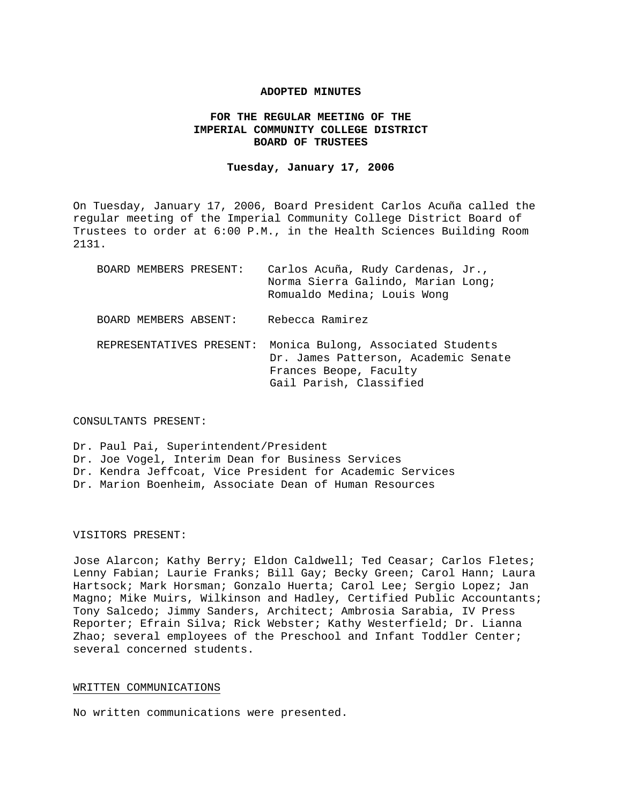#### **ADOPTED MINUTES**

# **FOR THE REGULAR MEETING OF THE IMPERIAL COMMUNITY COLLEGE DISTRICT BOARD OF TRUSTEES**

## **Tuesday, January 17, 2006**

On Tuesday, January 17, 2006, Board President Carlos Acuña called the regular meeting of the Imperial Community College District Board of Trustees to order at 6:00 P.M., in the Health Sciences Building Room 2131.

| BOARD MEMBERS PRESENT:   | Carlos Acuña, Rudy Cardenas, Jr.,<br>Norma Sierra Galindo, Marian Long;<br>Romualdo Medina; Louis Wong                          |
|--------------------------|---------------------------------------------------------------------------------------------------------------------------------|
| BOARD MEMBERS ABSENT:    | Rebecca Ramirez                                                                                                                 |
| REPRESENTATIVES PRESENT: | Monica Bulong, Associated Students<br>Dr. James Patterson, Academic Senate<br>Frances Beope, Faculty<br>Gail Parish, Classified |

#### CONSULTANTS PRESENT:

Dr. Paul Pai, Superintendent/President Dr. Joe Vogel, Interim Dean for Business Services Dr. Kendra Jeffcoat, Vice President for Academic Services Dr. Marion Boenheim, Associate Dean of Human Resources

## VISITORS PRESENT:

Jose Alarcon; Kathy Berry; Eldon Caldwell; Ted Ceasar; Carlos Fletes; Lenny Fabian; Laurie Franks; Bill Gay; Becky Green; Carol Hann; Laura Hartsock; Mark Horsman; Gonzalo Huerta; Carol Lee; Sergio Lopez; Jan Magno; Mike Muirs, Wilkinson and Hadley, Certified Public Accountants; Tony Salcedo; Jimmy Sanders, Architect; Ambrosia Sarabia, IV Press Reporter; Efrain Silva; Rick Webster; Kathy Westerfield; Dr. Lianna Zhao; several employees of the Preschool and Infant Toddler Center; several concerned students.

### WRITTEN COMMUNICATIONS

No written communications were presented.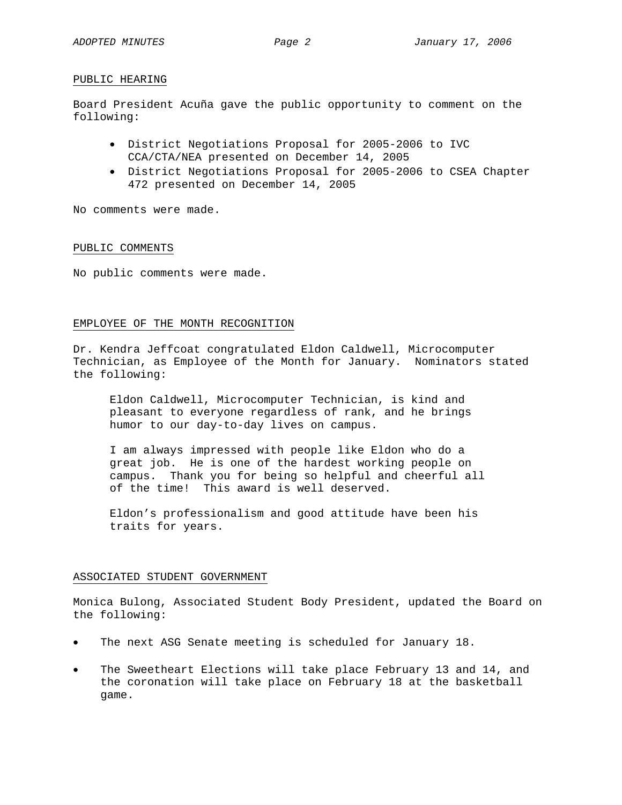### PUBLIC HEARING

Board President Acuña gave the public opportunity to comment on the following:

- District Negotiations Proposal for 2005-2006 to IVC CCA/CTA/NEA presented on December 14, 2005
- District Negotiations Proposal for 2005-2006 to CSEA Chapter 472 presented on December 14, 2005

No comments were made.

### PUBLIC COMMENTS

No public comments were made.

### EMPLOYEE OF THE MONTH RECOGNITION

Dr. Kendra Jeffcoat congratulated Eldon Caldwell, Microcomputer Technician, as Employee of the Month for January. Nominators stated the following:

Eldon Caldwell, Microcomputer Technician, is kind and pleasant to everyone regardless of rank, and he brings humor to our day-to-day lives on campus.

I am always impressed with people like Eldon who do a great job. He is one of the hardest working people on campus. Thank you for being so helpful and cheerful all of the time! This award is well deserved.

Eldon's professionalism and good attitude have been his traits for years.

## ASSOCIATED STUDENT GOVERNMENT

Monica Bulong, Associated Student Body President, updated the Board on the following:

- The next ASG Senate meeting is scheduled for January 18.
- The Sweetheart Elections will take place February 13 and 14, and the coronation will take place on February 18 at the basketball game.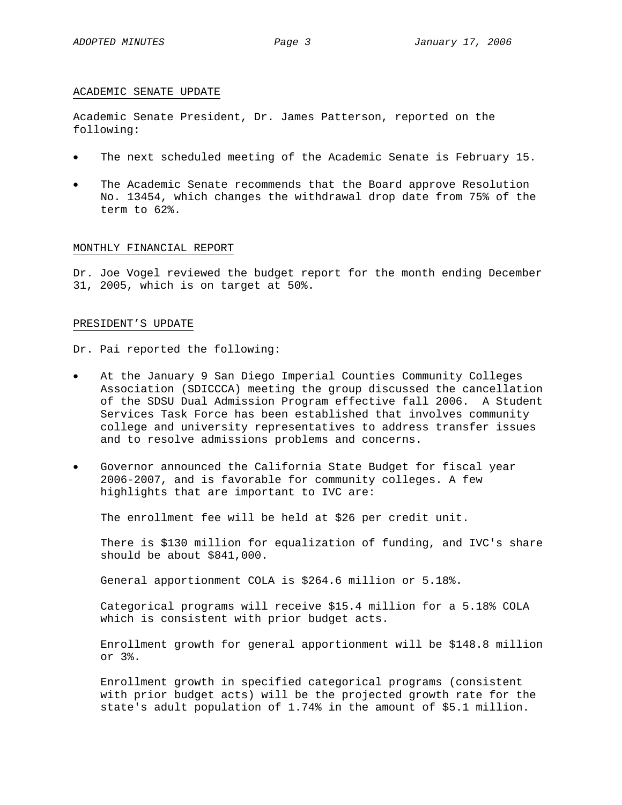### ACADEMIC SENATE UPDATE

Academic Senate President, Dr. James Patterson, reported on the following:

- The next scheduled meeting of the Academic Senate is February 15.
- The Academic Senate recommends that the Board approve Resolution No. 13454, which changes the withdrawal drop date from 75% of the term to 62%.

### MONTHLY FINANCIAL REPORT

Dr. Joe Vogel reviewed the budget report for the month ending December 31, 2005, which is on target at 50%.

## PRESIDENT'S UPDATE

Dr. Pai reported the following:

- At the January 9 San Diego Imperial Counties Community Colleges Association (SDICCCA) meeting the group discussed the cancellation of the SDSU Dual Admission Program effective fall 2006. A Student Services Task Force has been established that involves community college and university representatives to address transfer issues and to resolve admissions problems and concerns.
- Governor announced the California State Budget for fiscal year 2006-2007, and is favorable for community colleges. A few highlights that are important to IVC are:

The enrollment fee will be held at \$26 per credit unit.

There is \$130 million for equalization of funding, and IVC's share should be about \$841,000.

General apportionment COLA is \$264.6 million or 5.18%.

Categorical programs will receive \$15.4 million for a 5.18% COLA which is consistent with prior budget acts.

Enrollment growth for general apportionment will be \$148.8 million or 3%.

Enrollment growth in specified categorical programs (consistent with prior budget acts) will be the projected growth rate for the state's adult population of 1.74% in the amount of \$5.1 million.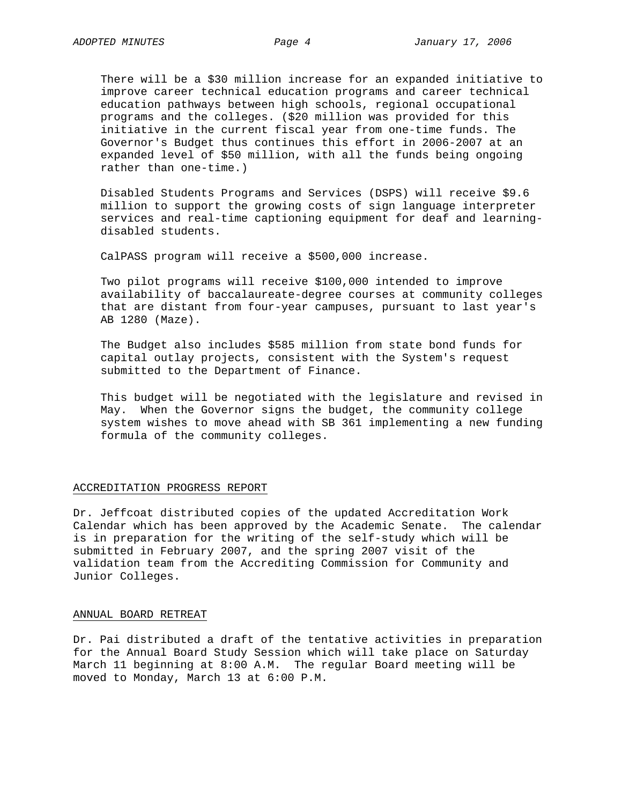There will be a \$30 million increase for an expanded initiative to improve career technical education programs and career technical education pathways between high schools, regional occupational programs and the colleges. (\$20 million was provided for this initiative in the current fiscal year from one-time funds. The Governor's Budget thus continues this effort in 2006-2007 at an expanded level of \$50 million, with all the funds being ongoing rather than one-time.)

Disabled Students Programs and Services (DSPS) will receive \$9.6 million to support the growing costs of sign language interpreter services and real-time captioning equipment for deaf and learningdisabled students.

CalPASS program will receive a \$500,000 increase.

Two pilot programs will receive \$100,000 intended to improve availability of baccalaureate-degree courses at community colleges that are distant from four-year campuses, pursuant to last year's AB 1280 (Maze).

The Budget also includes \$585 million from state bond funds for capital outlay projects, consistent with the System's request submitted to the Department of Finance.

 This budget will be negotiated with the legislature and revised in May. When the Governor signs the budget, the community college system wishes to move ahead with SB 361 implementing a new funding formula of the community colleges.

#### ACCREDITATION PROGRESS REPORT

Dr. Jeffcoat distributed copies of the updated Accreditation Work Calendar which has been approved by the Academic Senate. The calendar is in preparation for the writing of the self-study which will be submitted in February 2007, and the spring 2007 visit of the validation team from the Accrediting Commission for Community and Junior Colleges.

#### ANNUAL BOARD RETREAT

Dr. Pai distributed a draft of the tentative activities in preparation for the Annual Board Study Session which will take place on Saturday March 11 beginning at 8:00 A.M. The regular Board meeting will be moved to Monday, March 13 at 6:00 P.M.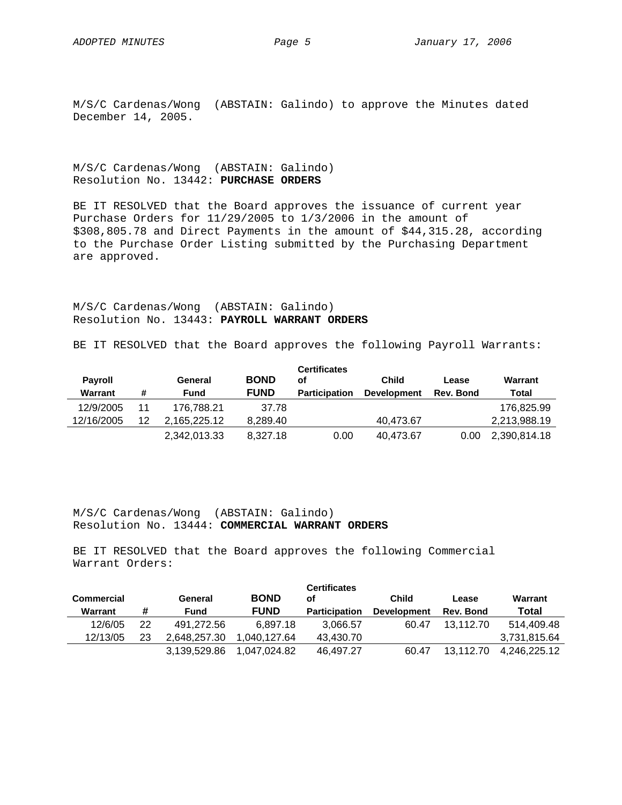M/S/C Cardenas/Wong (ABSTAIN: Galindo) to approve the Minutes dated December 14, 2005.

M/S/C Cardenas/Wong (ABSTAIN: Galindo) Resolution No. 13442: **PURCHASE ORDERS**

BE IT RESOLVED that the Board approves the issuance of current year Purchase Orders for 11/29/2005 to 1/3/2006 in the amount of \$308,805.78 and Direct Payments in the amount of \$44,315.28, according to the Purchase Order Listing submitted by the Purchasing Department are approved.

M/S/C Cardenas/Wong (ABSTAIN: Galindo) Resolution No. 13443: **PAYROLL WARRANT ORDERS**

BE IT RESOLVED that the Board approves the following Payroll Warrants:

| <b>Payroll</b><br>Warrant | #  | General<br>Fund | <b>BOND</b><br><b>FUND</b> | <b>Certificates</b><br>οf<br><b>Participation</b> | Child<br><b>Development</b> | Lease<br>Rev. Bond | Warrant<br>Total |
|---------------------------|----|-----------------|----------------------------|---------------------------------------------------|-----------------------------|--------------------|------------------|
| 12/9/2005                 | 11 | 176.788.21      | 37.78                      |                                                   |                             |                    | 176.825.99       |
| 12/16/2005                | 12 | 2.165.225.12    | 8.289.40                   |                                                   | 40.473.67                   |                    | 2,213,988.19     |
|                           |    | 2,342,013.33    | 8,327.18                   | 0.00                                              | 40.473.67                   | 0.00               | 2,390,814.18     |

M/S/C Cardenas/Wong (ABSTAIN: Galindo) Resolution No. 13444: **COMMERCIAL WARRANT ORDERS**

BE IT RESOLVED that the Board approves the following Commercial Warrant Orders:

| <b>Commercial</b><br>Warrant | #  | General<br>Fund | <b>BOND</b><br><b>FUND</b> | <b>Certificates</b><br>οf<br><b>Participation</b> | <b>Child</b><br><b>Development</b> | Lease<br>Rev. Bond | Warrant<br>Total |
|------------------------------|----|-----------------|----------------------------|---------------------------------------------------|------------------------------------|--------------------|------------------|
| 12/6/05                      | 22 | 491.272.56      | 6.897.18                   | 3.066.57                                          | 60.47                              | 13.112.70          | 514.409.48       |
| 12/13/05                     | 23 | 2.648.257.30    | 1,040,127.64               | 43.430.70                                         |                                    |                    | 3,731,815.64     |
|                              |    | 3.139.529.86    | 1.047.024.82               | 46.497.27                                         | 60.47                              | 13.112.70          | 4.246.225.12     |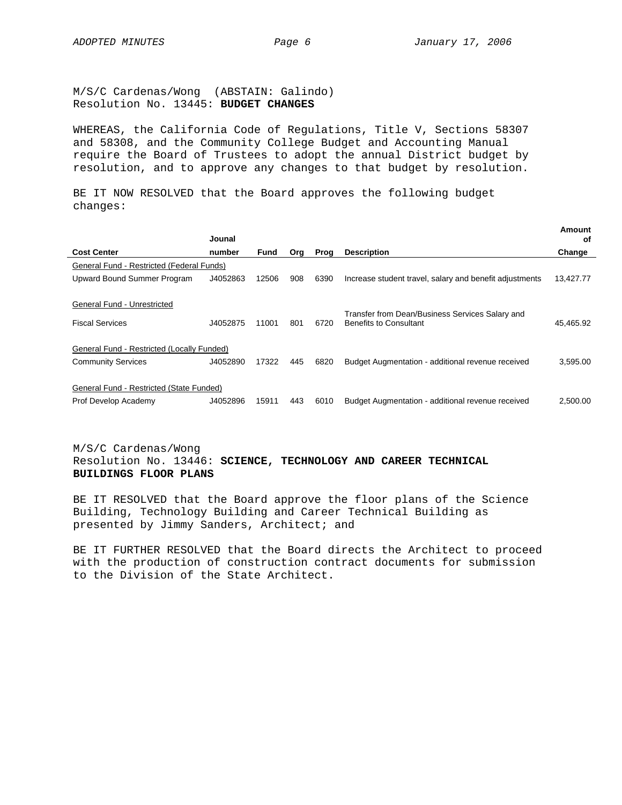M/S/C Cardenas/Wong (ABSTAIN: Galindo) Resolution No. 13445: **BUDGET CHANGES** 

WHEREAS, the California Code of Regulations, Title V, Sections 58307 and 58308, and the Community College Budget and Accounting Manual require the Board of Trustees to adopt the annual District budget by resolution, and to approve any changes to that budget by resolution.

BE IT NOW RESOLVED that the Board approves the following budget changes:

|                                            | Jounal   |       |     |      |                                                                                  | Amount<br>оf |
|--------------------------------------------|----------|-------|-----|------|----------------------------------------------------------------------------------|--------------|
| <b>Cost Center</b>                         | number   | Fund  | Org | Prog | <b>Description</b>                                                               | Change       |
| General Fund - Restricted (Federal Funds)  |          |       |     |      |                                                                                  |              |
| Upward Bound Summer Program                | J4052863 | 12506 | 908 | 6390 | Increase student travel, salary and benefit adjustments                          | 13,427.77    |
|                                            |          |       |     |      |                                                                                  |              |
| General Fund - Unrestricted                |          |       |     |      |                                                                                  |              |
| <b>Fiscal Services</b>                     | J4052875 | 11001 | 801 | 6720 | Transfer from Dean/Business Services Salary and<br><b>Benefits to Consultant</b> | 45,465.92    |
|                                            |          |       |     |      |                                                                                  |              |
| General Fund - Restricted (Locally Funded) |          |       |     |      |                                                                                  |              |
| <b>Community Services</b>                  | J4052890 | 17322 | 445 | 6820 | Budget Augmentation - additional revenue received                                | 3,595.00     |
|                                            |          |       |     |      |                                                                                  |              |
| General Fund - Restricted (State Funded)   |          |       |     |      |                                                                                  |              |
| Prof Develop Academy                       | J4052896 | 15911 | 443 | 6010 | Budget Augmentation - additional revenue received                                | 2.500.00     |

# M/S/C Cardenas/Wong Resolution No. 13446: **SCIENCE, TECHNOLOGY AND CAREER TECHNICAL BUILDINGS FLOOR PLANS**

BE IT RESOLVED that the Board approve the floor plans of the Science Building, Technology Building and Career Technical Building as presented by Jimmy Sanders, Architect; and

BE IT FURTHER RESOLVED that the Board directs the Architect to proceed with the production of construction contract documents for submission to the Division of the State Architect.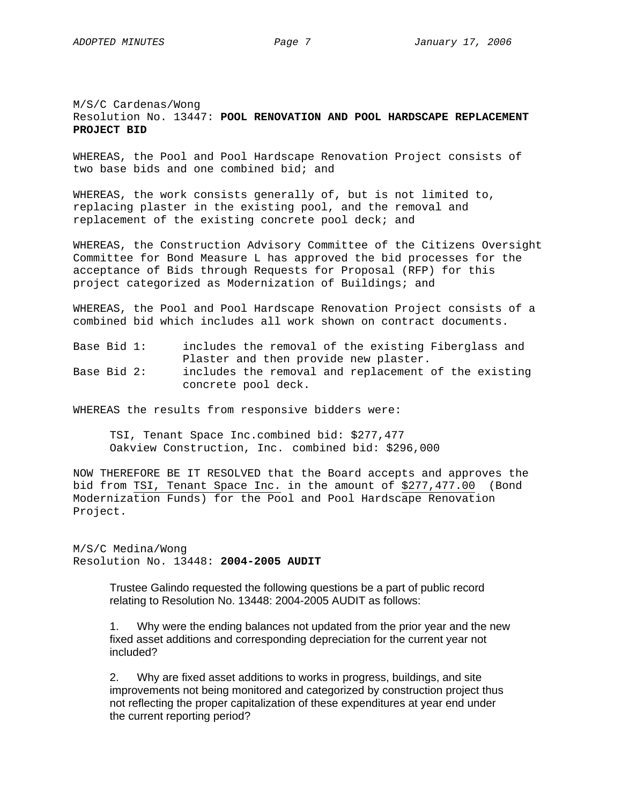# M/S/C Cardenas/Wong Resolution No. 13447: **POOL RENOVATION AND POOL HARDSCAPE REPLACEMENT PROJECT BID**

WHEREAS, the Pool and Pool Hardscape Renovation Project consists of two base bids and one combined bid; and

WHEREAS, the work consists generally of, but is not limited to, replacing plaster in the existing pool, and the removal and replacement of the existing concrete pool deck; and

WHEREAS, the Construction Advisory Committee of the Citizens Oversight Committee for Bond Measure L has approved the bid processes for the acceptance of Bids through Requests for Proposal (RFP) for this project categorized as Modernization of Buildings; and

WHEREAS, the Pool and Pool Hardscape Renovation Project consists of a combined bid which includes all work shown on contract documents.

| Base Bid 1: |  | includes the removal of the existing Fiberglass and  |
|-------------|--|------------------------------------------------------|
|             |  | Plaster and then provide new plaster.                |
| Base Bid 2: |  | includes the removal and replacement of the existing |
|             |  | concrete pool deck.                                  |

WHEREAS the results from responsive bidders were:

TSI, Tenant Space Inc.combined bid: \$277,477 Oakview Construction, Inc. combined bid: \$296,000

NOW THEREFORE BE IT RESOLVED that the Board accepts and approves the bid from TSI, Tenant Space Inc. in the amount of \$277,477.00 (Bond Modernization Funds) for the Pool and Pool Hardscape Renovation Project.

M/S/C Medina/Wong Resolution No. 13448: **2004-2005 AUDIT** 

> Trustee Galindo requested the following questions be a part of public record relating to Resolution No. 13448: 2004-2005 AUDIT as follows:

1. Why were the ending balances not updated from the prior year and the new fixed asset additions and corresponding depreciation for the current year not included?

2. Why are fixed asset additions to works in progress, buildings, and site improvements not being monitored and categorized by construction project thus not reflecting the proper capitalization of these expenditures at year end under the current reporting period?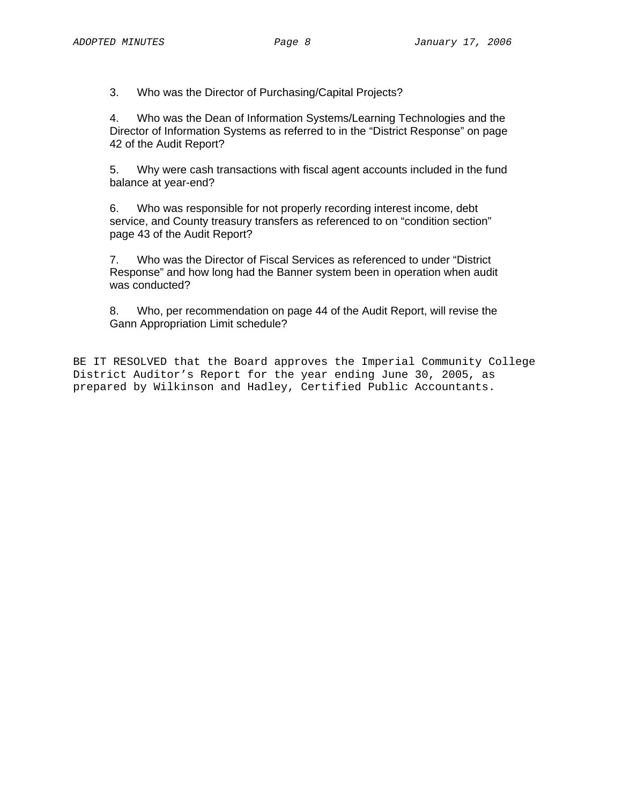3. Who was the Director of Purchasing/Capital Projects?

4. Who was the Dean of Information Systems/Learning Technologies and the Director of Information Systems as referred to in the "District Response" on page 42 of the Audit Report?

5. Why were cash transactions with fiscal agent accounts included in the fund balance at year-end?

6. Who was responsible for not properly recording interest income, debt service, and County treasury transfers as referenced to on "condition section" page 43 of the Audit Report?

7. Who was the Director of Fiscal Services as referenced to under "District Response" and how long had the Banner system been in operation when audit was conducted?

8. Who, per recommendation on page 44 of the Audit Report, will revise the Gann Appropriation Limit schedule?

BE IT RESOLVED that the Board approves the Imperial Community College District Auditor's Report for the year ending June 30, 2005, as prepared by Wilkinson and Hadley, Certified Public Accountants.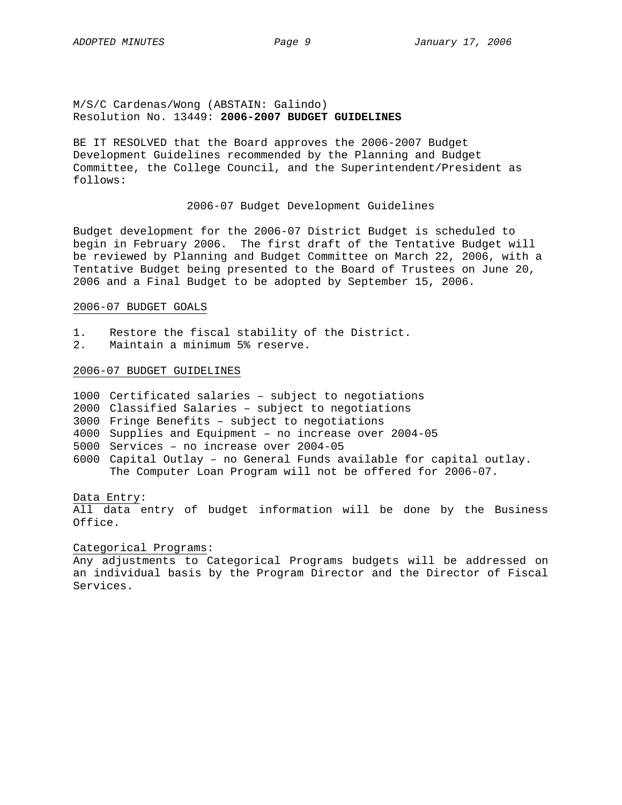M/S/C Cardenas/Wong (ABSTAIN: Galindo) Resolution No. 13449: **2006-2007 BUDGET GUIDELINES** 

BE IT RESOLVED that the Board approves the 2006-2007 Budget Development Guidelines recommended by the Planning and Budget Committee, the College Council, and the Superintendent/President as follows:

### 2006-07 Budget Development Guidelines

Budget development for the 2006-07 District Budget is scheduled to begin in February 2006. The first draft of the Tentative Budget will be reviewed by Planning and Budget Committee on March 22, 2006, with a Tentative Budget being presented to the Board of Trustees on June 20, 2006 and a Final Budget to be adopted by September 15, 2006.

## 2006-07 BUDGET GOALS

- 1. Restore the fiscal stability of the District.
- 2. Maintain a minimum 5% reserve.

### 2006-07 BUDGET GUIDELINES

- 1000 Certificated salaries subject to negotiations
- 2000 Classified Salaries subject to negotiations
- 3000 Fringe Benefits subject to negotiations
- 4000 Supplies and Equipment no increase over 2004-05
- 5000 Services no increase over 2004-05
- 6000 Capital Outlay no General Funds available for capital outlay. The Computer Loan Program will not be offered for 2006-07.

Data Entry:

All data entry of budget information will be done by the Business Office.

## Categorical Programs:

Any adjustments to Categorical Programs budgets will be addressed on an individual basis by the Program Director and the Director of Fiscal Services.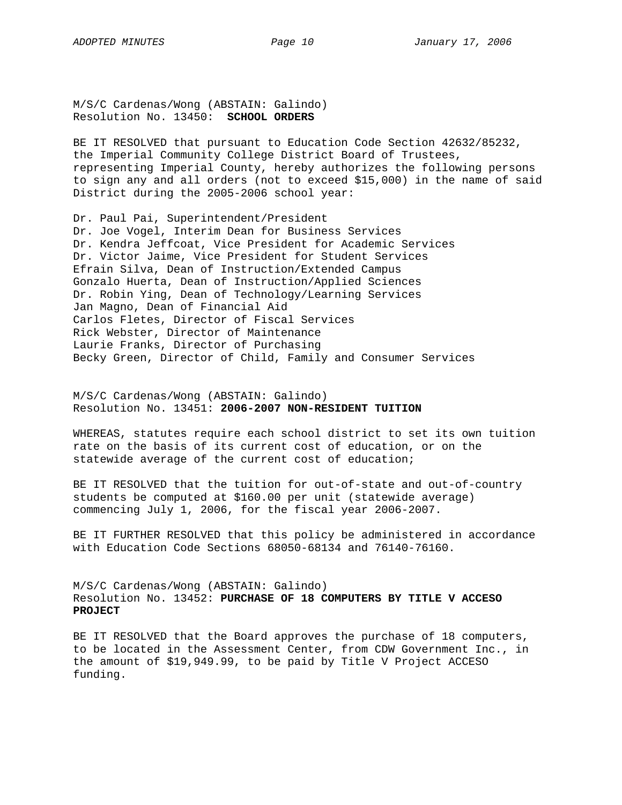M/S/C Cardenas/Wong (ABSTAIN: Galindo) Resolution No. 13450: **SCHOOL ORDERS** 

BE IT RESOLVED that pursuant to Education Code Section 42632/85232, the Imperial Community College District Board of Trustees, representing Imperial County, hereby authorizes the following persons to sign any and all orders (not to exceed \$15,000) in the name of said District during the 2005-2006 school year:

Dr. Paul Pai, Superintendent/President Dr. Joe Vogel, Interim Dean for Business Services Dr. Kendra Jeffcoat, Vice President for Academic Services Dr. Victor Jaime, Vice President for Student Services Efrain Silva, Dean of Instruction/Extended Campus Gonzalo Huerta, Dean of Instruction/Applied Sciences Dr. Robin Ying, Dean of Technology/Learning Services Jan Magno, Dean of Financial Aid Carlos Fletes, Director of Fiscal Services Rick Webster, Director of Maintenance Laurie Franks, Director of Purchasing Becky Green, Director of Child, Family and Consumer Services

M/S/C Cardenas/Wong (ABSTAIN: Galindo) Resolution No. 13451: **2006-2007 NON-RESIDENT TUITION** 

WHEREAS, statutes require each school district to set its own tuition rate on the basis of its current cost of education, or on the statewide average of the current cost of education;

BE IT RESOLVED that the tuition for out-of-state and out-of-country students be computed at \$160.00 per unit (statewide average) commencing July 1, 2006, for the fiscal year 2006-2007.

BE IT FURTHER RESOLVED that this policy be administered in accordance with Education Code Sections 68050-68134 and 76140-76160.

M/S/C Cardenas/Wong (ABSTAIN: Galindo) Resolution No. 13452: **PURCHASE OF 18 COMPUTERS BY TITLE V ACCESO PROJECT** 

BE IT RESOLVED that the Board approves the purchase of 18 computers, to be located in the Assessment Center, from CDW Government Inc., in the amount of \$19,949.99, to be paid by Title V Project ACCESO funding.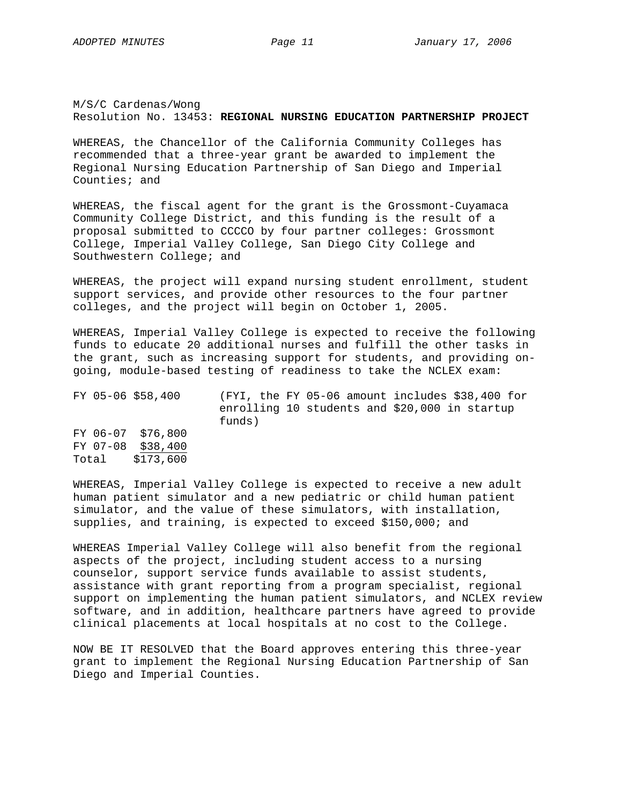M/S/C Cardenas/Wong Resolution No. 13453: **REGIONAL NURSING EDUCATION PARTNERSHIP PROJECT**

WHEREAS, the Chancellor of the California Community Colleges has recommended that a three-year grant be awarded to implement the Regional Nursing Education Partnership of San Diego and Imperial Counties; and

WHEREAS, the fiscal agent for the grant is the Grossmont-Cuyamaca Community College District, and this funding is the result of a proposal submitted to CCCCO by four partner colleges: Grossmont College, Imperial Valley College, San Diego City College and Southwestern College; and

WHEREAS, the project will expand nursing student enrollment, student support services, and provide other resources to the four partner colleges, and the project will begin on October 1, 2005.

WHEREAS, Imperial Valley College is expected to receive the following funds to educate 20 additional nurses and fulfill the other tasks in the grant, such as increasing support for students, and providing ongoing, module-based testing of readiness to take the NCLEX exam:

| FY 05-06 \$58,400 |        | (FYI, the FY 05-06 amount includes \$38,400 for |  |  |
|-------------------|--------|-------------------------------------------------|--|--|
|                   |        | enrolling 10 students and \$20,000 in startup   |  |  |
|                   | funds) |                                                 |  |  |
| FY 06-07 \$76,800 |        |                                                 |  |  |
| FY 07-08 \$38,400 |        |                                                 |  |  |
| Total \$173,600   |        |                                                 |  |  |

WHEREAS, Imperial Valley College is expected to receive a new adult human patient simulator and a new pediatric or child human patient simulator, and the value of these simulators, with installation, supplies, and training, is expected to exceed \$150,000; and

WHEREAS Imperial Valley College will also benefit from the regional aspects of the project, including student access to a nursing counselor, support service funds available to assist students, assistance with grant reporting from a program specialist, regional support on implementing the human patient simulators, and NCLEX review software, and in addition, healthcare partners have agreed to provide clinical placements at local hospitals at no cost to the College.

NOW BE IT RESOLVED that the Board approves entering this three-year grant to implement the Regional Nursing Education Partnership of San Diego and Imperial Counties.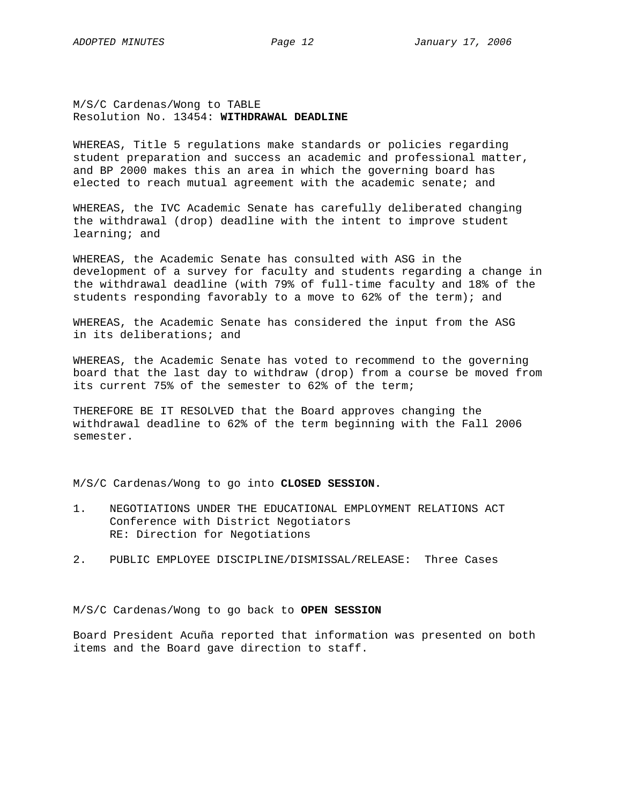M/S/C Cardenas/Wong to TABLE Resolution No. 13454: **WITHDRAWAL DEADLINE**

WHEREAS, Title 5 regulations make standards or policies regarding student preparation and success an academic and professional matter, and BP 2000 makes this an area in which the governing board has elected to reach mutual agreement with the academic senate; and

WHEREAS, the IVC Academic Senate has carefully deliberated changing the withdrawal (drop) deadline with the intent to improve student learning; and

WHEREAS, the Academic Senate has consulted with ASG in the development of a survey for faculty and students regarding a change in the withdrawal deadline (with 79% of full-time faculty and 18% of the students responding favorably to a move to 62% of the term); and

WHEREAS, the Academic Senate has considered the input from the ASG in its deliberations; and

WHEREAS, the Academic Senate has voted to recommend to the governing board that the last day to withdraw (drop) from a course be moved from its current 75% of the semester to 62% of the term;

THEREFORE BE IT RESOLVED that the Board approves changing the withdrawal deadline to 62% of the term beginning with the Fall 2006 semester.

M/S/C Cardenas/Wong to go into **CLOSED SESSION.**

- 1. NEGOTIATIONS UNDER THE EDUCATIONAL EMPLOYMENT RELATIONS ACT Conference with District Negotiators RE: Direction for Negotiations
- 2. PUBLIC EMPLOYEE DISCIPLINE/DISMISSAL/RELEASE: Three Cases

M/S/C Cardenas/Wong to go back to **OPEN SESSION**

Board President Acuña reported that information was presented on both items and the Board gave direction to staff.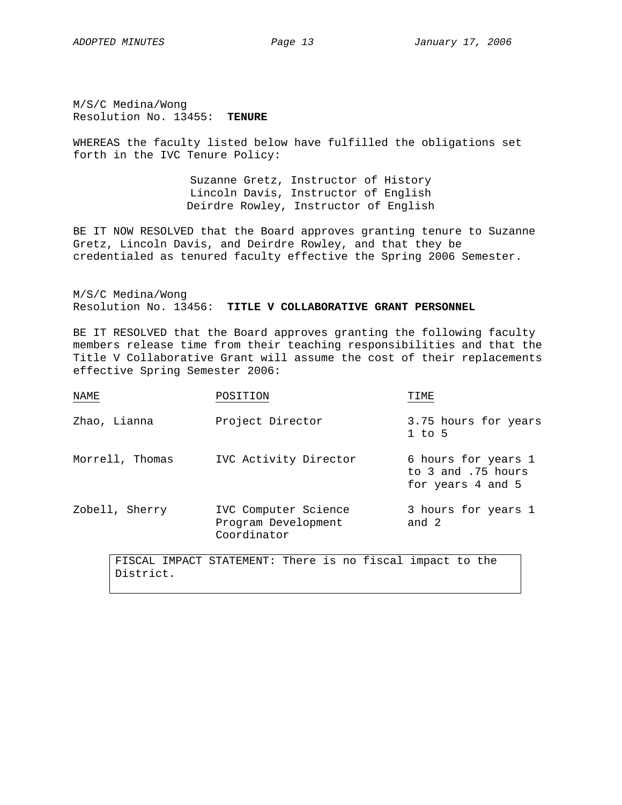M/S/C Medina/Wong Resolution No. 13455: **TENURE**

WHEREAS the faculty listed below have fulfilled the obligations set forth in the IVC Tenure Policy:

> Suzanne Gretz, Instructor of History Lincoln Davis, Instructor of English Deirdre Rowley, Instructor of English

BE IT NOW RESOLVED that the Board approves granting tenure to Suzanne Gretz, Lincoln Davis, and Deirdre Rowley, and that they be credentialed as tenured faculty effective the Spring 2006 Semester.

M/S/C Medina/Wong Resolution No. 13456: **TITLE V COLLABORATIVE GRANT PERSONNEL**

BE IT RESOLVED that the Board approves granting the following faculty members release time from their teaching responsibilities and that the Title V Collaborative Grant will assume the cost of their replacements effective Spring Semester 2006:

| NAME |                 | POSITION                                                   | TTME                                                           |
|------|-----------------|------------------------------------------------------------|----------------------------------------------------------------|
|      | Zhao, Lianna    | Project Director                                           | 3.75 hours for years<br>$1$ to $5$                             |
|      | Morrell, Thomas | IVC Activity Director                                      | 6 hours for years 1<br>to 3 and .75 hours<br>for years 4 and 5 |
|      | Zobell, Sherry  | IVC Computer Science<br>Program Development<br>Coordinator | 3 hours for years 1<br>and 2                                   |
|      | FISCAL          | IMPACT STATEMENT: There is no fiscal impact to the         |                                                                |

District.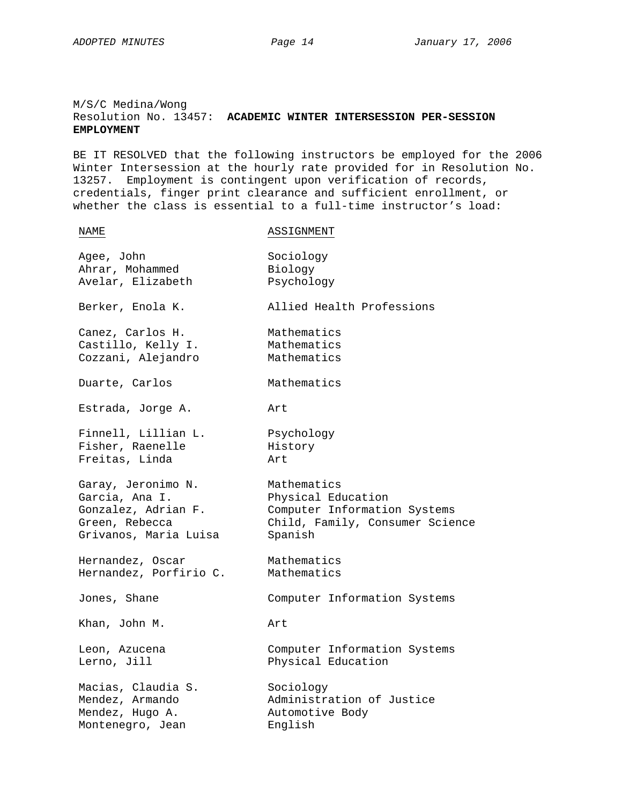# M/S/C Medina/Wong Resolution No. 13457: **ACADEMIC WINTER INTERSESSION PER-SESSION EMPLOYMENT**

BE IT RESOLVED that the following instructors be employed for the 2006 Winter Intersession at the hourly rate provided for in Resolution No. 13257. Employment is contingent upon verification of records, credentials, finger print clearance and sufficient enrollment, or whether the class is essential to a full-time instructor's load:

| NAME                   | ASSIGNMENT                      |
|------------------------|---------------------------------|
| Agee, John             | Sociology                       |
| Ahrar, Mohammed        | Biology                         |
| Avelar, Elizabeth      | Psychology                      |
| Berker, Enola K.       | Allied Health Professions       |
| Canez, Carlos H.       | Mathematics                     |
| Castillo, Kelly I.     | Mathematics                     |
| Cozzani, Alejandro     | Mathematics                     |
| Duarte, Carlos         | Mathematics                     |
| Estrada, Jorge A.      | Art                             |
| Finnell, Lillian L.    | Psychology                      |
| Fisher, Raenelle       | History                         |
| Freitas, Linda         | Art                             |
| Garay, Jeronimo N.     | Mathematics                     |
| Garcia, Ana I.         | Physical Education              |
| Gonzalez, Adrian F.    | Computer Information Systems    |
| Green, Rebecca         | Child, Family, Consumer Science |
| Grivanos, Maria Luisa  | Spanish                         |
| Hernandez, Oscar       | Mathematics                     |
| Hernandez, Porfirio C. | Mathematics                     |
| Jones, Shane           | Computer Information Systems    |
| Khan, John M.          | Art                             |
| Leon, Azucena          | Computer Information Systems    |
| Lerno, Jill            | Physical Education              |
| Macias, Claudia S.     | Sociology                       |
| Mendez, Armando        | Administration of Justice       |
| Mendez, Hugo A.        | Automotive Body                 |
| Montenegro, Jean       | English                         |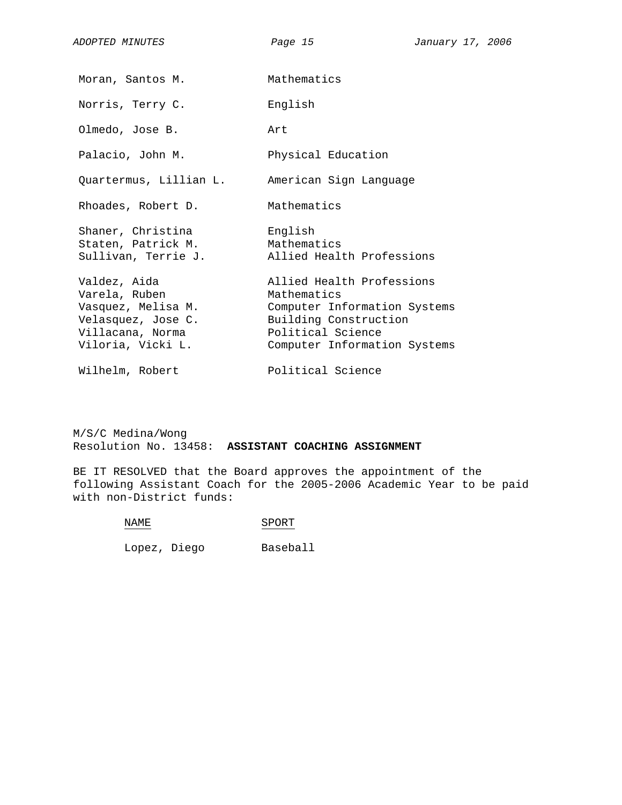| Moran, Santos M.                                                                                                   | Mathematics                                                                                                                                            |
|--------------------------------------------------------------------------------------------------------------------|--------------------------------------------------------------------------------------------------------------------------------------------------------|
| Norris, Terry C.                                                                                                   | English                                                                                                                                                |
| Olmedo, Jose B.                                                                                                    | Art                                                                                                                                                    |
| Palacio, John M.                                                                                                   | Physical Education                                                                                                                                     |
| Quartermus, Lillian L.                                                                                             | American Sign Language                                                                                                                                 |
| Rhoades, Robert D.                                                                                                 | Mathematics                                                                                                                                            |
| Shaner, Christina<br>Staten, Patrick M.<br>Sullivan, Terrie J.                                                     | English<br>Mathematics<br>Allied Health Professions                                                                                                    |
| Valdez, Aida<br>Varela, Ruben<br>Vasquez, Melisa M.<br>Velasquez, Jose C.<br>Villacana, Norma<br>Viloria, Vicki L. | Allied Health Professions<br>Mathematics<br>Computer Information Systems<br>Building Construction<br>Political Science<br>Computer Information Systems |
| Wilhelm, Robert                                                                                                    | Political Science                                                                                                                                      |

M/S/C Medina/Wong Resolution No. 13458: **ASSISTANT COACHING ASSIGNMENT**

BE IT RESOLVED that the Board approves the appointment of the following Assistant Coach for the 2005-2006 Academic Year to be paid with non-District funds:

# NAME SPORT

Lopez, Diego Baseball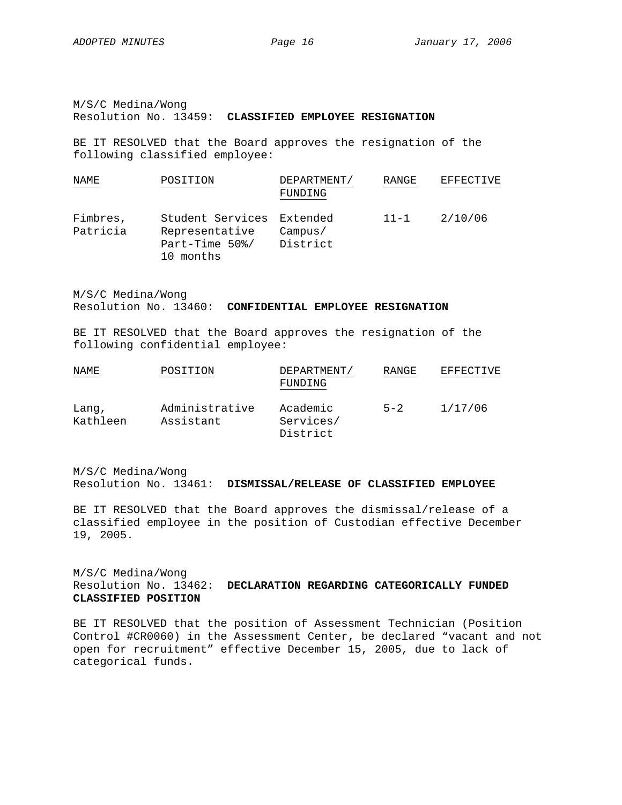M/S/C Medina/Wong Resolution No. 13459: **CLASSIFIED EMPLOYEE RESIGNATION**

BE IT RESOLVED that the Board approves the resignation of the following classified employee:

| NAME                 | POSITION                                                                   | DEPARTMENT/<br>FUNDING | RANGE    | EFFECTIVE |
|----------------------|----------------------------------------------------------------------------|------------------------|----------|-----------|
| Fimbres,<br>Patricia | Student Services Extended<br>Representative<br>Part-Time 50%/<br>10 months | Campus/<br>District    | $11 - 1$ | 2/10/06   |

M/S/C Medina/Wong Resolution No. 13460: **CONFIDENTIAL EMPLOYEE RESIGNATION**

BE IT RESOLVED that the Board approves the resignation of the following confidential employee:

| NAME              | POSITION                    | DEPARTMENT/                       | RANGE   | EFFECTIVE |
|-------------------|-----------------------------|-----------------------------------|---------|-----------|
|                   |                             | FUNDING                           |         |           |
| Lang,<br>Kathleen | Administrative<br>Assistant | Academic<br>Services/<br>District | $5 - 2$ | 1/17/06   |

M/S/C Medina/Wong Resolution No. 13461: **DISMISSAL/RELEASE OF CLASSIFIED EMPLOYEE**

BE IT RESOLVED that the Board approves the dismissal/release of a classified employee in the position of Custodian effective December 19, 2005.

M/S/C Medina/Wong Resolution No. 13462: **DECLARATION REGARDING CATEGORICALLY FUNDED CLASSIFIED POSITION**

BE IT RESOLVED that the position of Assessment Technician (Position Control #CR0060) in the Assessment Center, be declared "vacant and not open for recruitment" effective December 15, 2005, due to lack of categorical funds.